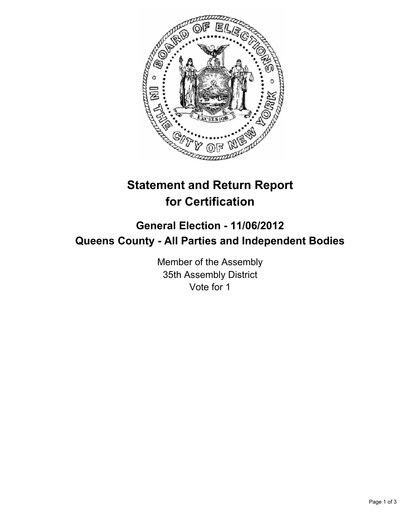

# **Statement and Return Report for Certification**

## **General Election - 11/06/2012 Queens County - All Parties and Independent Bodies**

Member of the Assembly 35th Assembly District Vote for 1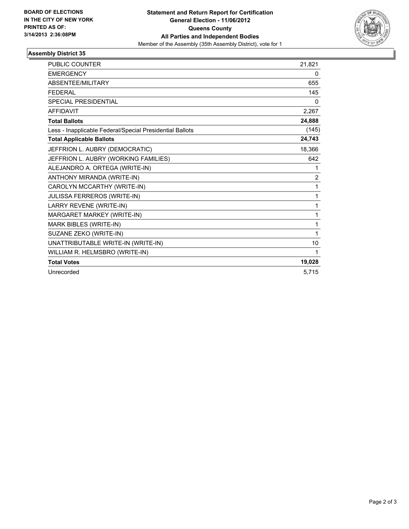

### **Assembly District 35**

| <b>PUBLIC COUNTER</b>                                    | 21,821         |
|----------------------------------------------------------|----------------|
| <b>EMERGENCY</b>                                         | 0              |
| <b>ABSENTEE/MILITARY</b>                                 | 655            |
| <b>FEDERAL</b>                                           | 145            |
| <b>SPECIAL PRESIDENTIAL</b>                              | 0              |
| <b>AFFIDAVIT</b>                                         | 2,267          |
| <b>Total Ballots</b>                                     | 24,888         |
| Less - Inapplicable Federal/Special Presidential Ballots | (145)          |
| <b>Total Applicable Ballots</b>                          | 24,743         |
| JEFFRION L. AUBRY (DEMOCRATIC)                           | 18,366         |
| JEFFRION L. AUBRY (WORKING FAMILIES)                     | 642            |
| ALEJANDRO A. ORTEGA (WRITE-IN)                           | 1              |
| ANTHONY MIRANDA (WRITE-IN)                               | $\overline{2}$ |
| CAROLYN MCCARTHY (WRITE-IN)                              | 1              |
| JULISSA FERREROS (WRITE-IN)                              | 1              |
| LARRY REVENE (WRITE-IN)                                  | 1              |
| MARGARET MARKEY (WRITE-IN)                               | 1              |
| MARK BIBLES (WRITE-IN)                                   | 1              |
| SUZANE ZEKO (WRITE-IN)                                   | 1              |
| UNATTRIBUTABLE WRITE-IN (WRITE-IN)                       | 10             |
| WILLIAM R. HELMSBRO (WRITE-IN)                           | 1              |
| <b>Total Votes</b>                                       | 19,028         |
| Unrecorded                                               | 5,715          |